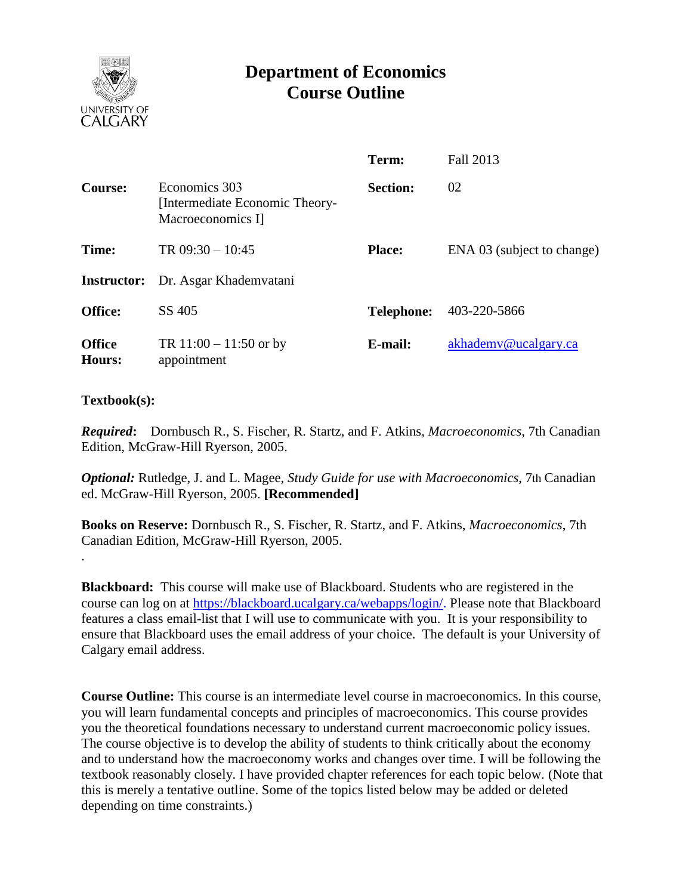

# **Department of Economics Course Outline**

|                         |                                                                      | Term:             | <b>Fall 2013</b>           |
|-------------------------|----------------------------------------------------------------------|-------------------|----------------------------|
| Course:                 | Economics 303<br>[Intermediate Economic Theory-<br>Macroeconomics I] | <b>Section:</b>   | 02                         |
| Time:                   | TR $09:30 - 10:45$                                                   | <b>Place:</b>     | ENA 03 (subject to change) |
| <b>Instructor:</b>      | Dr. Asgar Khademvatani                                               |                   |                            |
| <b>Office:</b>          | SS 405                                                               | <b>Telephone:</b> | 403-220-5866               |
| <b>Office</b><br>Hours: | TR $11:00 - 11:50$ or by<br>appointment                              | E-mail:           | akhademy@ucalgary.ca       |

## **Textbook(s):**

.

*Required***:** Dornbusch R., S. Fischer, R. Startz, and F. Atkins, *Macroeconomics*, 7th Canadian Edition, McGraw-Hill Ryerson, 2005.

*Optional:* Rutledge, J. and L. Magee, *Study Guide for use with Macroeconomics*, 7th Canadian ed. McGraw-Hill Ryerson, 2005. **[Recommended]**

**Books on Reserve:** Dornbusch R., S. Fischer, R. Startz, and F. Atkins, *Macroeconomics*, 7th Canadian Edition, McGraw-Hill Ryerson, 2005.

**Blackboard:** This course will make use of Blackboard. Students who are registered in the course can log on at [https://blackboard.ucalgary.ca/webapps/login/.](https://blackboard.ucalgary.ca/webapps/login/) Please note that Blackboard features a class email-list that I will use to communicate with you. It is your responsibility to ensure that Blackboard uses the email address of your choice. The default is your University of Calgary email address.

**Course Outline:** This course is an intermediate level course in macroeconomics. In this course, you will learn fundamental concepts and principles of macroeconomics. This course provides you the theoretical foundations necessary to understand current macroeconomic policy issues. The course objective is to develop the ability of students to think critically about the economy and to understand how the macroeconomy works and changes over time. I will be following the textbook reasonably closely. I have provided chapter references for each topic below. (Note that this is merely a tentative outline. Some of the topics listed below may be added or deleted depending on time constraints.)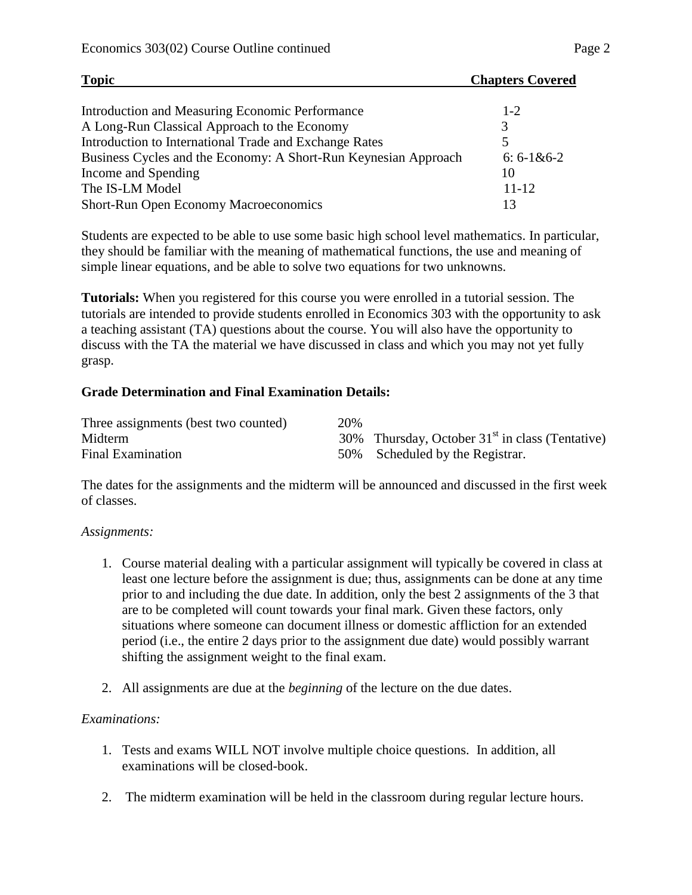| <b>Topic</b>                                                    | <b>Chapters Covered</b> |  |
|-----------------------------------------------------------------|-------------------------|--|
|                                                                 |                         |  |
| Introduction and Measuring Economic Performance                 | $1 - 2$                 |  |
| A Long-Run Classical Approach to the Economy                    | 3                       |  |
| Introduction to International Trade and Exchange Rates          |                         |  |
| Business Cycles and the Economy: A Short-Run Keynesian Approach | $6: 6-1&6-2$            |  |
| Income and Spending                                             | 10                      |  |
| The IS-LM Model                                                 | $11 - 12$               |  |
| Short-Run Open Economy Macroeconomics                           | 13                      |  |

Students are expected to be able to use some basic high school level mathematics. In particular, they should be familiar with the meaning of mathematical functions, the use and meaning of simple linear equations, and be able to solve two equations for two unknowns.

**Tutorials:** When you registered for this course you were enrolled in a tutorial session. The tutorials are intended to provide students enrolled in Economics 303 with the opportunity to ask a teaching assistant (TA) questions about the course. You will also have the opportunity to discuss with the TA the material we have discussed in class and which you may not yet fully grasp.

## **Grade Determination and Final Examination Details:**

| Three assignments (best two counted) | 20% |                                                   |
|--------------------------------------|-----|---------------------------------------------------|
| Midterm                              |     | 30% Thursday, October $31st$ in class (Tentative) |
| Final Examination                    |     | 50% Scheduled by the Registrar.                   |

The dates for the assignments and the midterm will be announced and discussed in the first week of classes.

#### *Assignments:*

- 1. Course material dealing with a particular assignment will typically be covered in class at least one lecture before the assignment is due; thus, assignments can be done at any time prior to and including the due date. In addition, only the best 2 assignments of the 3 that are to be completed will count towards your final mark. Given these factors, only situations where someone can document illness or domestic affliction for an extended period (i.e., the entire 2 days prior to the assignment due date) would possibly warrant shifting the assignment weight to the final exam.
- 2. All assignments are due at the *beginning* of the lecture on the due dates.

## *Examinations:*

- 1. Tests and exams WILL NOT involve multiple choice questions. In addition, all examinations will be closed-book.
- 2. The midterm examination will be held in the classroom during regular lecture hours.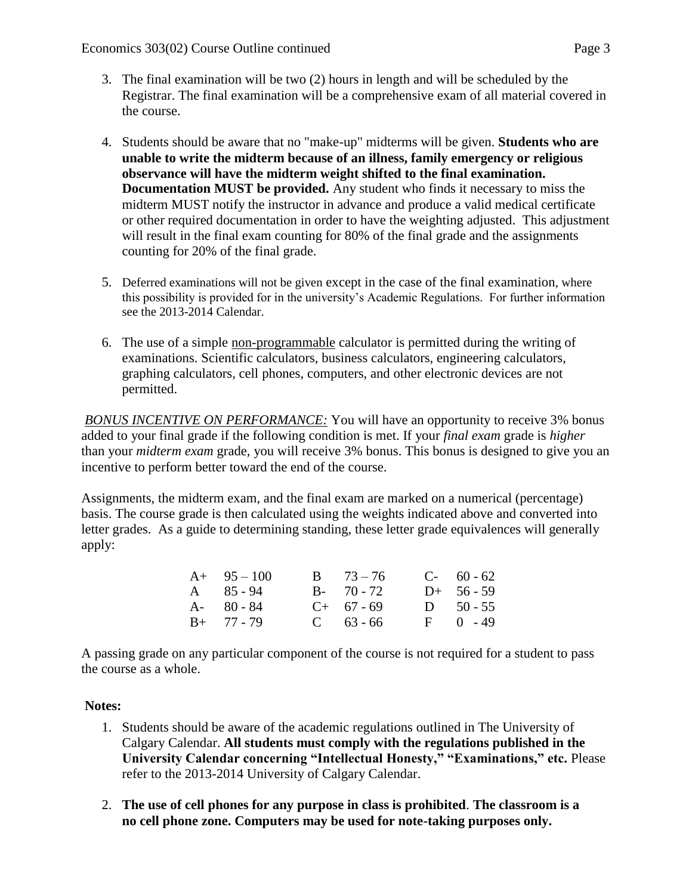- 3. The final examination will be two (2) hours in length and will be scheduled by the Registrar. The final examination will be a comprehensive exam of all material covered in the course.
- 4. Students should be aware that no "make-up" midterms will be given. **Students who are unable to write the midterm because of an illness, family emergency or religious observance will have the midterm weight shifted to the final examination. Documentation MUST be provided.** Any student who finds it necessary to miss the midterm MUST notify the instructor in advance and produce a valid medical certificate or other required documentation in order to have the weighting adjusted. This adjustment will result in the final exam counting for 80% of the final grade and the assignments counting for 20% of the final grade.
- 5. Deferred examinations will not be given except in the case of the final examination, where this possibility is provided for in the university's Academic Regulations. For further information see the 2013-2014 Calendar.
- 6. The use of a simple non-programmable calculator is permitted during the writing of examinations. Scientific calculators, business calculators, engineering calculators, graphing calculators, cell phones, computers, and other electronic devices are not permitted.

*BONUS INCENTIVE ON PERFORMANCE:* You will have an opportunity to receive 3% bonus added to your final grade if the following condition is met. If your *final exam* grade is *higher* than your *midterm exam* grade, you will receive 3% bonus. This bonus is designed to give you an incentive to perform better toward the end of the course.

Assignments, the midterm exam, and the final exam are marked on a numerical (percentage) basis. The course grade is then calculated using the weights indicated above and converted into letter grades. As a guide to determining standing, these letter grade equivalences will generally apply:

| $A+ 95-100$       | $B = 73 - 76$ | $C-60-62$    |
|-------------------|---------------|--------------|
| $A \quad 85 - 94$ | $B - 70 - 72$ | $D+ 56-59$   |
| $A - 80 - 84$     | $C+ 67-69$    | D $50 - 55$  |
| $B+ 77 - 79$      | $C = 63 - 66$ | $F = 0 - 49$ |

A passing grade on any particular component of the course is not required for a student to pass the course as a whole.

## **Notes:**

- 1. Students should be aware of the academic regulations outlined in The University of Calgary Calendar. **All students must comply with the regulations published in the University Calendar concerning "Intellectual Honesty," "Examinations," etc.** Please refer to the 2013-2014 University of Calgary Calendar.
- 2. **The use of cell phones for any purpose in class is prohibited**. **The classroom is a no cell phone zone. Computers may be used for note-taking purposes only.**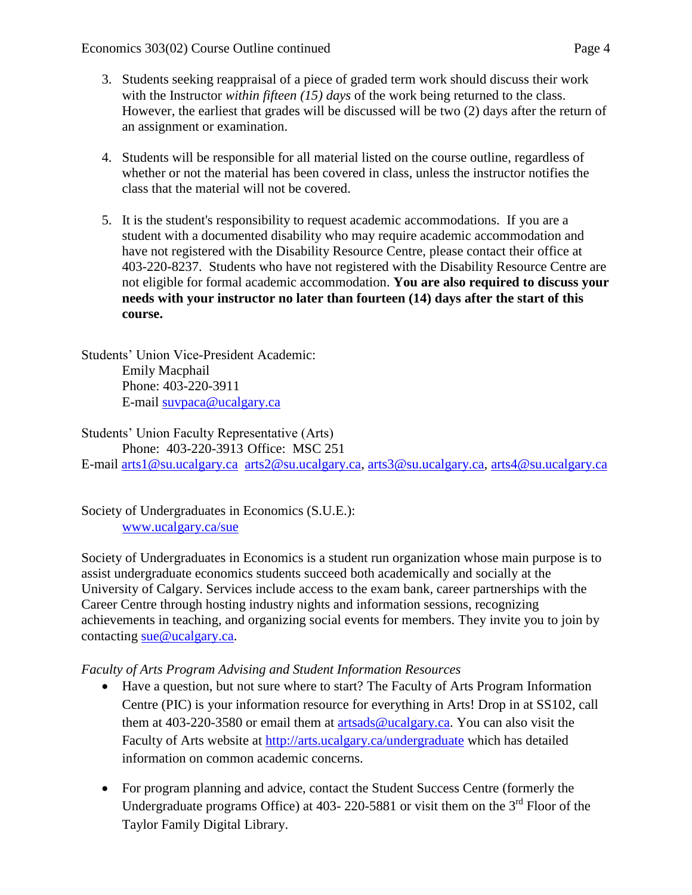- 3. Students seeking reappraisal of a piece of graded term work should discuss their work with the Instructor *within fifteen (15) days* of the work being returned to the class. However, the earliest that grades will be discussed will be two (2) days after the return of an assignment or examination.
- 4. Students will be responsible for all material listed on the course outline, regardless of whether or not the material has been covered in class, unless the instructor notifies the class that the material will not be covered.
- 5. It is the student's responsibility to request academic accommodations. If you are a student with a documented disability who may require academic accommodation and have not registered with the Disability Resource Centre, please contact their office at 403-220-8237. Students who have not registered with the Disability Resource Centre are not eligible for formal academic accommodation. **You are also required to discuss your needs with your instructor no later than fourteen (14) days after the start of this course.**

Students' Union Vice-President Academic: Emily Macphail Phone: 403-220-3911 E-mail [suvpaca@ucalgary.ca](mailto:subpaca@ucalgary.ca)

Students' Union Faculty Representative (Arts) Phone: 403-220-3913 Office: MSC 251 E-mail [arts1@su.ucalgary.ca](mailto:arts1@su.ucalgary.ca) [arts2@su.ucalgary.ca,](mailto:arts2@su.ucalgary.ca) [arts3@su.ucalgary.ca,](mailto:arts3@su.ucalgary.ca) [arts4@su.ucalgary.ca](mailto:arts4@su.ucalgary.ca)

Society of Undergraduates in Economics (S.U.E.): [www.ucalgary.ca/sue](http://www.fp.ucalgary.ca/econ)

Society of Undergraduates in Economics is a student run organization whose main purpose is to assist undergraduate economics students succeed both academically and socially at the University of Calgary. Services include access to the exam bank, career partnerships with the Career Centre through hosting industry nights and information sessions, recognizing achievements in teaching, and organizing social events for members. They invite you to join by contacting [sue@ucalgary.ca.](mailto:sue@ucalgary.ca)

*Faculty of Arts Program Advising and Student Information Resources*

- Have a question, but not sure where to start? The Faculty of Arts Program Information Centre (PIC) is your information resource for everything in Arts! Drop in at SS102, call them at 403-220-3580 or email them at  $artsads@ucalgary.ca.$  You can also visit the Faculty of Arts website at<http://arts.ucalgary.ca/undergraduate> which has detailed information on common academic concerns.
- For program planning and advice, contact the Student Success Centre (formerly the Undergraduate programs Office) at 403- 220-5881 or visit them on the 3<sup>rd</sup> Floor of the Taylor Family Digital Library.